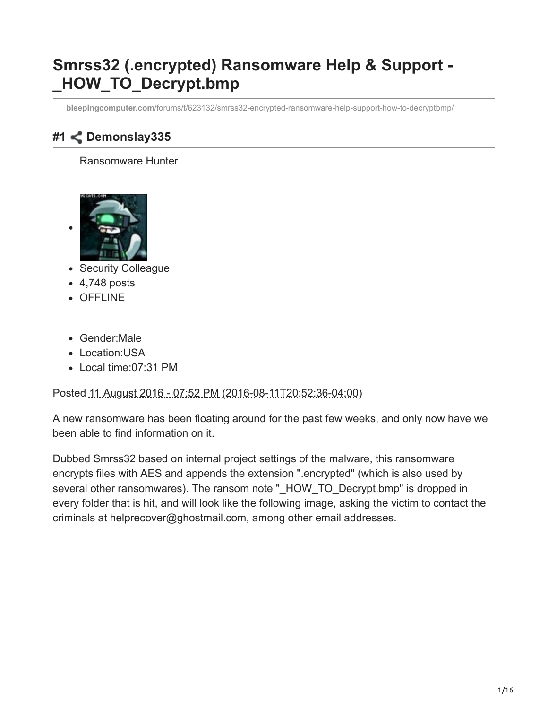# **Smrss32 (.encrypted) Ransomware Help & Support - \_HOW\_TO\_Decrypt.bmp**

**bleepingcomputer.com**[/forums/t/623132/smrss32-encrypted-ransomware-help-support-how-to-decryptbmp/](https://www.bleepingcomputer.com/forums/t/623132/smrss32-encrypted-ransomware-help-support-how-to-decryptbmp/)

## **[#1 D](https://www.bleepingcomputer.com/forums/t/623132/smrss32-encrypted-ransomware-help-support-how-to-decryptbmp/#entry4061450)emonslay335**

#### Ransomware Hunter



- Security Colleague
- 4,748 posts
- OFFLINE
- Gender:Male
- Location: USA
- Local time:07:31 PM

Posted 11 August 2016 - 07:52 PM (2016-08-11T20:52:36-04:00)

A new ransomware has been floating around for the past few weeks, and only now have we been able to find information on it.

Dubbed Smrss32 based on internal project settings of the malware, this ransomware encrypts files with AES and appends the extension ".encrypted" (which is also used by several other ransomwares). The ransom note " HOW TO Decrypt.bmp" is dropped in every folder that is hit, and will look like the following image, asking the victim to contact the criminals at helprecover@ghostmail.com, among other email addresses.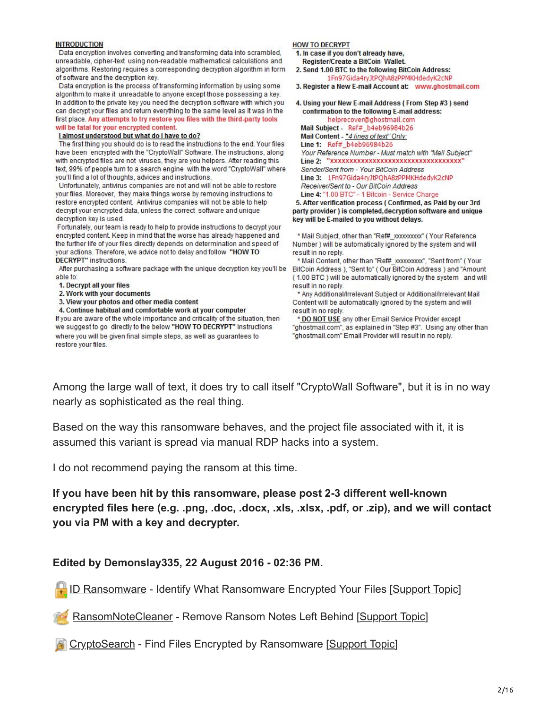| <b>INTRODUCTION</b>                                                              | <b>HOW TO DECRYPT</b>                                             |
|----------------------------------------------------------------------------------|-------------------------------------------------------------------|
| Data encryption involves converting and transforming data into scrambled,        | 1. In case if you don't already have.                             |
| unreadable, cipher-text using non-readable mathematical calculations and         | Register/Create a BitCoin Wallet.                                 |
| algorithms. Restoring requires a corresponding decryption algorithm in form      | 2. Send 1.00 BTC to the following BitCoin Address:                |
| of software and the decryption key.                                              | 1Fn97Gida4ryJtPQhA8zPPMKHdedyK2cNP                                |
| Data encryption is the process of transforming information by using some         | 3. Register a New E-mail Account at: www.ghostmail.com            |
| algorithm to make it unreadable to anyone except those possessing a key.         |                                                                   |
| In addition to the private key you need the decryption software with which you   | 4. Using your New E-mail Address (From Step #3) send              |
| can decrypt your files and return everything to the same level as it was in the  | confirmation to the following E-mail address:                     |
| first place. Any attempts to try restore you files with the third-party tools    | helprecover@ghostmail.com                                         |
| will be fatal for your encrypted content.                                        | Mail Subject - Ref# b4eb96984b26                                  |
| I almost understood but what do I have to do?                                    | Mail Content - "4 lines of text" Only:                            |
| The first thing you should do is to read the instructions to the end. Your files | Line 1: Ref# b4eb96984b26                                         |
| have been encrypted with the "CryptoWall" Software. The instructions, along      | Your Reference Number - Must match with "Mail Subject"            |
| with encrypted files are not viruses, they are you helpers. After reading this   |                                                                   |
| text, 99% of people turn to a search engine with the word "CryptoWall" where     | Sender/Sent from - Your BitCoin Address                           |
| you'll find a lot of thoughts, advices and instructions.                         | Line 3: 1Fn97Gida4ryJtPQhA8zPPMKHdedyK2cNP                        |
| Unfortunately, antivirus companies are not and will not be able to restore       | Receiver/Sent to - Our BitCoin Address                            |
| your files. Moreover, they make things worse by removing instructions to         | Line 4: "1.00 BTC" - 1 Bitcoin - Service Charge                   |
| restore encrypted content. Antivirus companies will not be able to help          | 5. After verification process (Confirmed, as Paid by our 3rd      |
| decrypt your encrypted data, unless the correct software and unique              | party provider) is completed, decryption software and unique      |
| decryption key is used.                                                          | key will be E-mailed to you without delays.                       |
| Fortunately, our team is ready to help to provide instructions to decrypt your   |                                                                   |
| encrypted content. Keep in mind that the worse has already happened and          | * Mail Subject, other than "Ref# xxxxxxxxxx" (Your Reference      |
| the further life of your files directly depends on determination and speed of    | Number ) will be automatically ignored by the system and will     |
| your actions. Therefore, we advice not to delay and follow "HOW TO               | result in no reply.                                               |
| <b>DECRYPT</b> " instructions.                                                   | * Mail Content, other than "Ref# xxxxxxxxxx", "Sent from" (Your   |
| After purchasing a software package with the unique decryption key you'll be     | BitCoin Address ), "Sent to" (Our BitCoin Address) and "Amount    |
| able to:                                                                         | (1.00 BTC) will be automatically ignored by the system and will   |
| 1. Decrypt all your files                                                        | result in no reply.                                               |
| 2. Work with your documents                                                      | * Any Additional/Irrelevant Subject or Additional/Irrelevant Mail |
| 3. View your photos and other media content                                      | Content will be automatically ignored by the system and will      |

4. Continue habitual and comfortable work at your computer

If you are aware of the whole importance and criticality of the situation, then we suggest to go directly to the below "HOW TO DECRYPT" instructions where you will be given final simple steps, as well as guarantees to restore your files.

result in no reply

\* DO NOT USE any other Email Service Provider except "ghostmail.com", as explained in "Step #3". Using any other than "ghostmail.com" Email Provider will result in no reply.

Among the large wall of text, it does try to call itself "CryptoWall Software", but it is in no way nearly as sophisticated as the real thing.

Based on the way this ransomware behaves, and the project file associated with it, it is assumed this variant is spread via manual RDP hacks into a system.

I do not recommend paying the ransom at this time.

**If you have been hit by this ransomware, please post 2-3 different well-known encrypted files here (e.g. .png, .doc, .docx, .xls, .xlsx, .pdf, or .zip), and we will contact you via PM with a key and decrypter.**

#### **Edited by Demonslay335, 22 August 2016 - 02:36 PM.**

D Ransomware - Identify What Ransomware Encrypted Your Files [[Support Topic](http://www.bleepingcomputer.com/forums/t/608858/id-ransomware-identify-what-ransomware-encrypted-your-files/)]

[RansomNoteCleaner](http://www.bleepingcomputer.com/download/ransomnotecleaner/) - Remove Ransom Notes Left Behind [[Support Topic\]](https://www.bleepingcomputer.com/forums/t/617257/ransomnotecleaner-remove-ransom-notes-left-behind/)

**[CryptoSearch](https://www.bleepingcomputer.com/news/security/cryptosearch-finds-files-encrypted-by-ransomware-moves-them-to-new-location/)** - Find Files Encrypted by Ransomware [[Support Topic](https://www.bleepingcomputer.com/forums/t/637463/cryptosearch-find-files-encrypted-by-ransomware/)]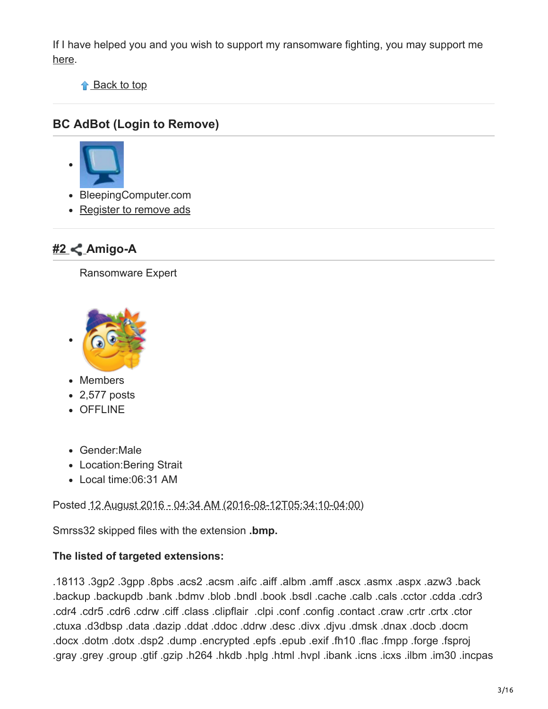If I have helped you and you wish to support my ransomware fighting, you may support me [here](https://www.patreon.com/demonslay335).

↑ Back to top

### **BC AdBot (Login to Remove)**



- BleepingComputer.com
- [Register to remove ads](https://www.bleepingcomputer.com/forums/index.php?app=core&module=global§ion=register)

### **[#2 A](https://www.bleepingcomputer.com/forums/t/623132/smrss32-encrypted-ransomware-help-support-how-to-decryptbmp/#entry4061699)migo-A**

Ransomware Expert



- Members
- 2,577 posts
- OFFLINE
- Gender:Male
- Location:Bering Strait
- Local time:06:31 AM

Posted 12 August 2016 - 04:34 AM (2016-08-12T05:34:10-04:00)

Smrss32 skipped files with the extension **.bmp.**

#### **The listed of targeted extensions:**

.18113 .3gp2 .3gpp .8pbs .acs2 .acsm .aifc .aiff .albm .amff .ascx .asmx .aspx .azw3 .back .backup .backupdb .bank .bdmv .blob .bndl .book .bsdl .cache .calb .cals .cctor .cdda .cdr3 .cdr4 .cdr5 .cdr6 .cdrw .ciff .class .clipflair .clpi .conf .config .contact .craw .crtr .crtx .ctor .ctuxa .d3dbsp .data .dazip .ddat .ddoc .ddrw .desc .divx .djvu .dmsk .dnax .docb .docm .docx .dotm .dotx .dsp2 .dump .encrypted .epfs .epub .exif .fh10 .flac .fmpp .forge .fsproj .gray .grey .group .gtif .gzip .h264 .hkdb .hplg .html .hvpl .ibank .icns .icxs .ilbm .im30 .incpas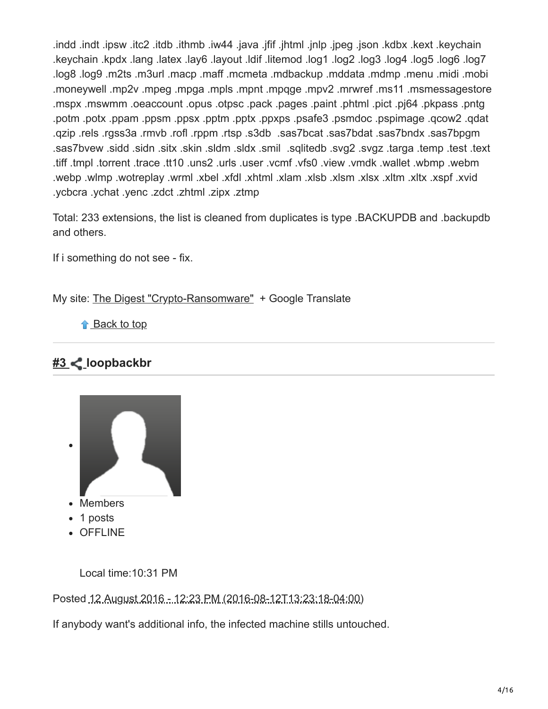.indd .indt .ipsw .itc2 .itdb .ithmb .iw44 .java .jfif .jhtml .jnlp .jpeg .json .kdbx .kext .keychain .keychain .kpdx .lang .latex .lay6 .layout .ldif .litemod .log1 .log2 .log3 .log4 .log5 .log6 .log7 .log8 .log9 .m2ts .m3url .macp .maff .mcmeta .mdbackup .mddata .mdmp .menu .midi .mobi .moneywell .mp2v .mpeg .mpga .mpls .mpnt .mpqge .mpv2 .mrwref .ms11 .msmessagestore .mspx .mswmm .oeaccount .opus .otpsc .pack .pages .paint .phtml .pict .pj64 .pkpass .pntg .potm .potx .ppam .ppsm .ppsx .pptm .pptx .ppxps .psafe3 .psmdoc .pspimage .qcow2 .qdat .qzip .rels .rgss3a .rmvb .rofl .rppm .rtsp .s3db .sas7bcat .sas7bdat .sas7bndx .sas7bpgm .sas7bvew .sidd .sidn .sitx .skin .sldm .sldx .smil .sqlitedb .svg2 .svgz .targa .temp .test .text .tiff .tmpl .torrent .trace .tt10 .uns2 .urls .user .vcmf .vfs0 .view .vmdk .wallet .wbmp .webm .webp .wlmp .wotreplay .wrml .xbel .xfdl .xhtml .xlam .xlsb .xlsm .xlsx .xltm .xltx .xspf .xvid .ycbcra .ychat .yenc .zdct .zhtml .zipx .ztmp

Total: 233 extensions, the list is cleaned from duplicates is type .BACKUPDB and .backupdb and others.

If i something do not see - fix.

My site: [The Digest "Crypto-Ransomware"](https://id-ransomware.blogspot.com/2016/07/ransomware-list.html) + Google Translate

↑ Back to top

### **[#3 l](https://www.bleepingcomputer.com/forums/t/623132/smrss32-encrypted-ransomware-help-support-how-to-decryptbmp/#entry4062017)oopbackbr**



Local time:10:31 PM

Posted 12 August 2016 - 12:23 PM (2016-08-12T13:23:18-04:00)

If anybody want's additional info, the infected machine stills untouched.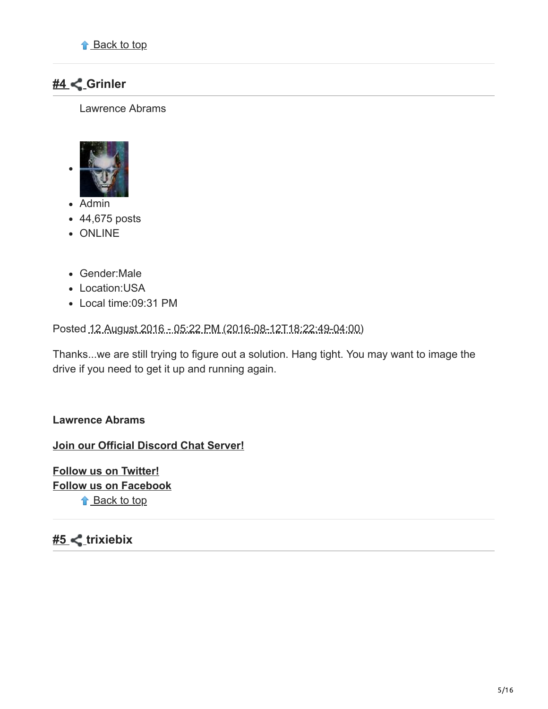### **[#4 G](https://www.bleepingcomputer.com/forums/t/623132/smrss32-encrypted-ransomware-help-support-how-to-decryptbmp/#entry4062234)rinler**

Lawrence Abrams



- Admin
- 44,675 posts
- ONLINE
- Gender:Male
- Location:USA
- Local time:09:31 PM

Posted 12 August 2016 - 05:22 PM (2016-08-12T18:22:49-04:00)

Thanks...we are still trying to figure out a solution. Hang tight. You may want to image the drive if you need to get it up and running again.

#### **Lawrence Abrams**

**[Join our Official Discord Chat Server!](https://www.bleepingcomputer.com/forums/t/679076/the-bleepingcomputer-official-discord-chat-server-come-join-the-fun/)**

**[Follow us on Twitter!](http://twitter.com/BleepinComputer) [Follow us on Facebook](http://facebook.bleepingcomputer.com/)** ↑ Back to top

### <u>#5</u> < trixiebix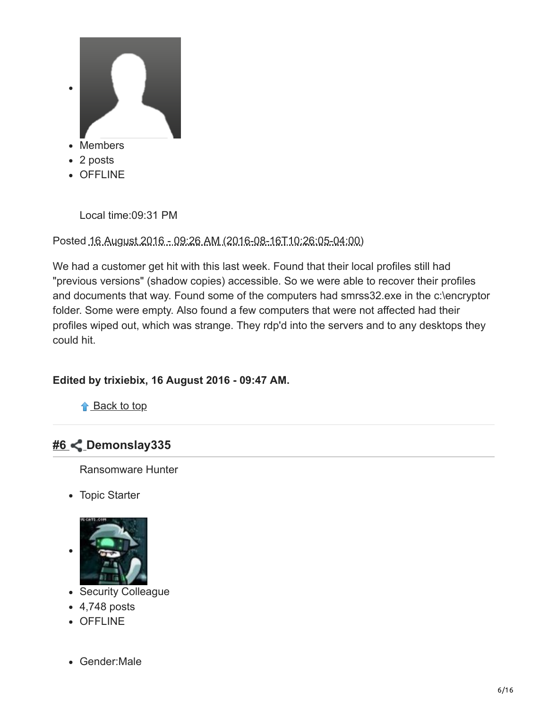

OFFLINE

Local time:09:31 PM

Posted 16 August 2016 - 09:26 AM (2016-08-16T10:26:05-04:00)

We had a customer get hit with this last week. Found that their local profiles still had "previous versions" (shadow copies) accessible. So we were able to recover their profiles and documents that way. Found some of the computers had smrss32.exe in the c:\encryptor folder. Some were empty. Also found a few computers that were not affected had their profiles wiped out, which was strange. They rdp'd into the servers and to any desktops they could hit.

#### **Edited by trixiebix, 16 August 2016 - 09:47 AM.**

↑ Back to top

### **[#6 D](https://www.bleepingcomputer.com/forums/t/623132/smrss32-encrypted-ransomware-help-support-how-to-decryptbmp/#entry4064727)emonslay335**

Ransomware Hunter

Topic Starter



- Security Colleague
- $-4,748$  posts
- OFFLINE
- Gender:Male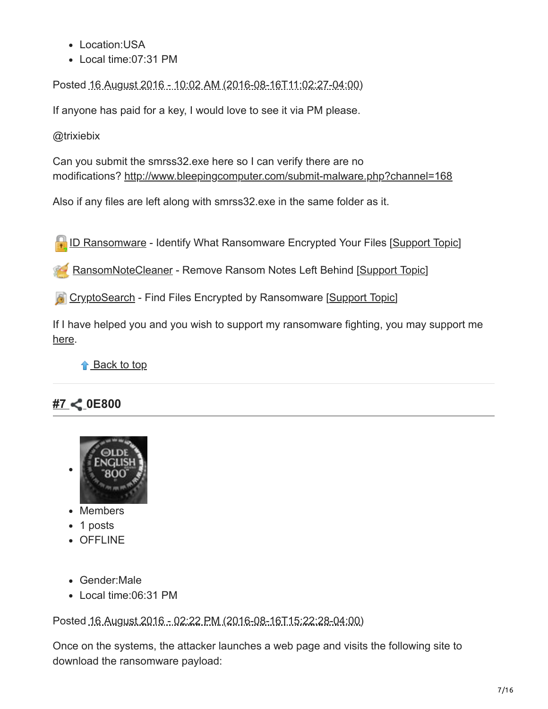- Location:USA
- Local time:07:31 PM

Posted 16 August 2016 - 10:02 AM (2016-08-16T11:02:27-04:00)

If anyone has paid for a key, I would love to see it via PM please.

@trixiebix

Can you submit the smrss32.exe here so I can verify there are no modifications? <http://www.bleepingcomputer.com/submit-malware.php?channel=168>

Also if any files are left along with smrss32.exe in the same folder as it.

**[ID Ransomware](https://id-ransomware.malwarehunterteam.com/) - Identify What Ransomware Encrypted Your Files [[Support Topic](http://www.bleepingcomputer.com/forums/t/608858/id-ransomware-identify-what-ransomware-encrypted-your-files/)]** 

[RansomNoteCleaner](http://www.bleepingcomputer.com/download/ransomnotecleaner/) - Remove Ransom Notes Left Behind [[Support Topic\]](https://www.bleepingcomputer.com/forums/t/617257/ransomnotecleaner-remove-ransom-notes-left-behind/)

**[CryptoSearch](https://www.bleepingcomputer.com/news/security/cryptosearch-finds-files-encrypted-by-ransomware-moves-them-to-new-location/)** - Find Files Encrypted by Ransomware [[Support Topic](https://www.bleepingcomputer.com/forums/t/637463/cryptosearch-find-files-encrypted-by-ransomware/)]

If I have helped you and you wish to support my ransomware fighting, you may support me [here](https://www.patreon.com/demonslay335).

**↑** Back to top

### **[#7 0](https://www.bleepingcomputer.com/forums/t/623132/smrss32-encrypted-ransomware-help-support-how-to-decryptbmp/#entry4064948)E800**



- Members
- 1 posts
- OFFLINE
- Gender:Male
- Local time:06:31 PM

Posted 16 August 2016 - 02:22 PM (2016-08-16T15:22:28-04:00)

Once on the systems, the attacker launches a web page and visits the following site to download the ransomware payload: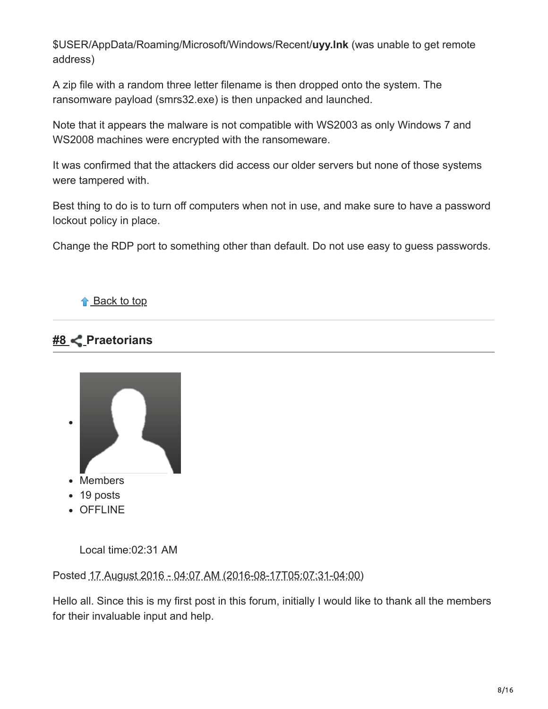\$USER/AppData/Roaming/Microsoft/Windows/Recent/**uyy.lnk** (was unable to get remote address)

A zip file with a random three letter filename is then dropped onto the system. The ransomware payload (smrs32.exe) is then unpacked and launched.

Note that it appears the malware is not compatible with WS2003 as only Windows 7 and WS2008 machines were encrypted with the ransomeware.

It was confirmed that the attackers did access our older servers but none of those systems were tampered with.

Best thing to do is to turn off computers when not in use, and make sure to have a password lockout policy in place.

Change the RDP port to something other than default. Do not use easy to guess passwords.

#### ↑ Back to top

### **[#8 P](https://www.bleepingcomputer.com/forums/t/623132/smrss32-encrypted-ransomware-help-support-how-to-decryptbmp/#entry4065434)raetorians**



Local time:02:31 AM

Posted 17 August 2016 - 04:07 AM (2016-08-17T05:07:31-04:00)

Hello all. Since this is my first post in this forum, initially I would like to thank all the members for their invaluable input and help.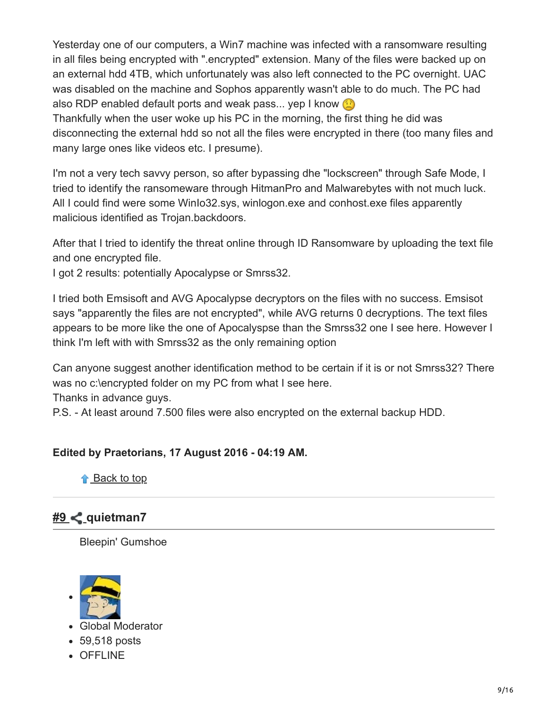Yesterday one of our computers, a Win7 machine was infected with a ransomware resulting in all files being encrypted with ".encrypted" extension. Many of the files were backed up on an external hdd 4TB, which unfortunately was also left connected to the PC overnight. UAC was disabled on the machine and Sophos apparently wasn't able to do much. The PC had also RDP enabled default ports and weak pass... yep I know  $\circled{r}$ 

Thankfully when the user woke up his PC in the morning, the first thing he did was disconnecting the external hdd so not all the files were encrypted in there (too many files and many large ones like videos etc. I presume).

I'm not a very tech savvy person, so after bypassing dhe "lockscreen" through Safe Mode, I tried to identify the ransomeware through HitmanPro and Malwarebytes with not much luck. All I could find were some WinIo32.sys, winlogon.exe and conhost.exe files apparently malicious identified as Trojan.backdoors.

After that I tried to identify the threat online through ID Ransomware by uploading the text file and one encrypted file.

I got 2 results: potentially Apocalypse or Smrss32.

I tried both Emsisoft and AVG Apocalypse decryptors on the files with no success. Emsisot says "apparently the files are not encrypted", while AVG returns 0 decryptions. The text files appears to be more like the one of Apocalyspse than the Smrss32 one I see here. However I think I'm left with with Smrss32 as the only remaining option

Can anyone suggest another identification method to be certain if it is or not Smrss32? There was no c:\encrypted folder on my PC from what I see here.

Thanks in advance guys.

P.S. - At least around 7.500 files were also encrypted on the external backup HDD.

#### **Edited by Praetorians, 17 August 2016 - 04:19 AM.**

**↑** Back to top

### **[#9 q](https://www.bleepingcomputer.com/forums/t/623132/smrss32-encrypted-ransomware-help-support-how-to-decryptbmp/#entry4065463)uietman7**

Bleepin' Gumshoe



- Global Moderator
- 59,518 posts
- OFFLINE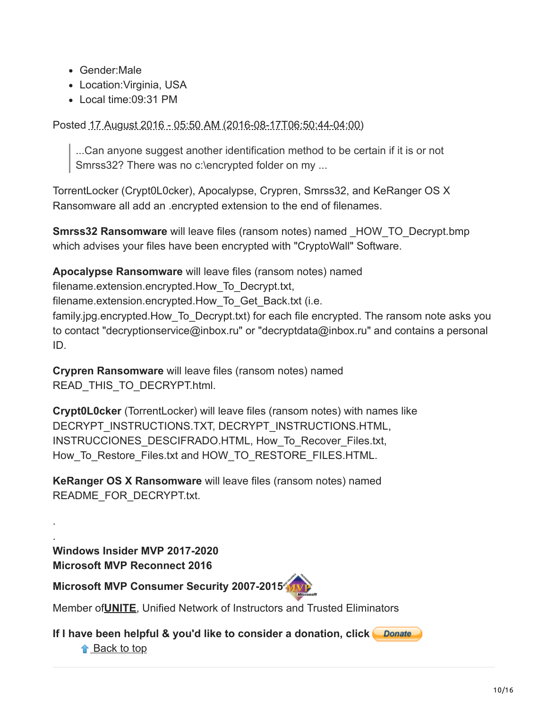- Gender:Male
- Location:Virginia, USA
- Local time:09:31 PM

Posted 17 August 2016 - 05:50 AM (2016-08-17T06:50:44-04:00)

...Can anyone suggest another identification method to be certain if it is or not Smrss32? There was no c:\encrypted folder on my ...

TorrentLocker (Crypt0L0cker), Apocalypse, Crypren, Smrss32, and KeRanger OS X Ransomware all add an .encrypted extension to the end of filenames.

**Smrss32 Ransomware** will leave files (ransom notes) named HOW TO Decrypt.bmp which advises your files have been encrypted with "CryptoWall" Software.

**Apocalypse Ransomware** will leave files (ransom notes) named

filename.extension.encrypted.How\_To\_Decrypt.txt,

filename.extension.encrypted.How\_To\_Get\_Back.txt (i.e.

family.jpg.encrypted.How To Decrypt.txt) for each file encrypted. The ransom note asks you to contact "decryptionservice@inbox.ru" or "decryptdata@inbox.ru" and contains a personal ID.

**Crypren Ransomware** will leave files (ransom notes) named READ\_THIS\_TO\_DECRYPT.html.

**Crypt0L0cker** (TorrentLocker) will leave files (ransom notes) with names like DECRYPT\_INSTRUCTIONS.TXT, DECRYPT\_INSTRUCTIONS.HTML, INSTRUCCIONES\_DESCIFRADO.HTML, How\_To\_Recover\_Files.txt, How To Restore Files.txt and HOW TO RESTORE FILES.HTML.

**KeRanger OS X Ransomware** will leave files (ransom notes) named README\_FOR\_DECRYPT.txt.

**Windows Insider MVP 2017-2020 Microsoft MVP Reconnect 2016**

**Microsoft MVP Consumer Security 2007-201[5](https://www.thewindowsclub.com/tips-become-microsoft-mvp-mcc)**

Member of**[UNITE](http://www.uniteagainstmalware.com/)**, Unified Network of Instructors and Trusted Eliminators

**If I have been helpful & you'd like to consider a donation, click**

↑ Back to top

. .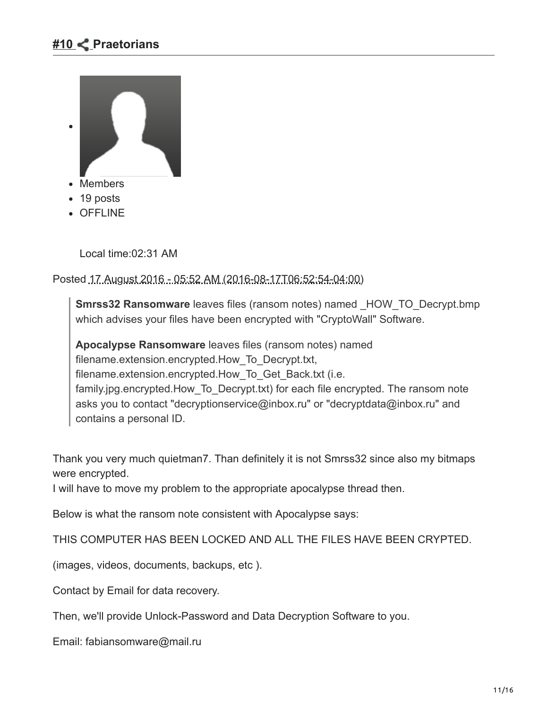

- Members
- 19 posts
- OFFLINE

Local time:02:31 AM

Posted 17 August 2016 - 05:52 AM (2016-08-17T06:52:54-04:00)

**Smrss32 Ransomware** leaves files (ransom notes) named HOW TO Decrypt.bmp which advises your files have been encrypted with "CryptoWall" Software.

**Apocalypse Ransomware** leaves files (ransom notes) named filename.extension.encrypted.How\_To\_Decrypt.txt, filename.extension.encrypted.How\_To\_Get\_Back.txt (i.e. family.jpg.encrypted.How To Decrypt.txt) for each file encrypted. The ransom note asks you to contact "decryptionservice@inbox.ru" or "decryptdata@inbox.ru" and contains a personal ID.

Thank you very much quietman7. Than definitely it is not Smrss32 since also my bitmaps were encrypted.

I will have to move my problem to the appropriate apocalypse thread then.

Below is what the ransom note consistent with Apocalypse says:

THIS COMPUTER HAS BEEN LOCKED AND ALL THE FILES HAVE BEEN CRYPTED.

(images, videos, documents, backups, etc ).

Contact by Email for data recovery.

Then, we'll provide Unlock-Password and Data Decryption Software to you.

Email: fabiansomware@mail.ru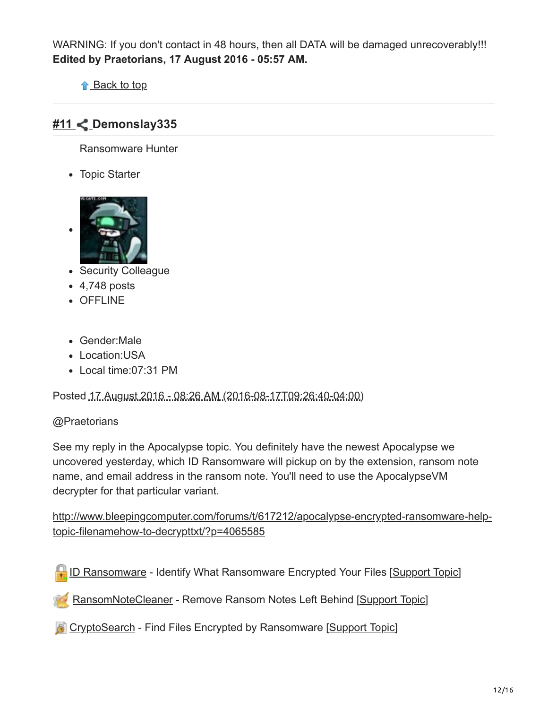WARNING: If you don't contact in 48 hours, then all DATA will be damaged unrecoverably!!! **Edited by Praetorians, 17 August 2016 - 05:57 AM.**

↑ Back to top

### **[#11 D](https://www.bleepingcomputer.com/forums/t/623132/smrss32-encrypted-ransomware-help-support-how-to-decryptbmp/#entry4065596)emonslay335**

Ransomware Hunter

Topic Starter



- Security Colleague
- $-4,748$  posts
- OFFLINE
- Gender:Male
- Location: USA
- Local time:07:31 PM

Posted 17 August 2016 - 08:26 AM (2016-08-17T09:26:40-04:00)

#### @Praetorians

See my reply in the Apocalypse topic. You definitely have the newest Apocalypse we uncovered yesterday, which ID Ransomware will pickup on by the extension, ransom note name, and email address in the ransom note. You'll need to use the ApocalypseVM decrypter for that particular variant.

[http://www.bleepingcomputer.com/forums/t/617212/apocalypse-encrypted-ransomware-help](http://www.bleepingcomputer.com/forums/t/617212/apocalypse-encrypted-ransomware-help-topic-filenamehow-to-decrypttxt/?p=4065585)topic-filenamehow-to-decrypttxt/?p=4065585

[ID Ransomware](https://id-ransomware.malwarehunterteam.com/) - Identify What Ransomware Encrypted Your Files [[Support Topic](http://www.bleepingcomputer.com/forums/t/608858/id-ransomware-identify-what-ransomware-encrypted-your-files/)]

[RansomNoteCleaner](http://www.bleepingcomputer.com/download/ransomnotecleaner/) - Remove Ransom Notes Left Behind [[Support Topic\]](https://www.bleepingcomputer.com/forums/t/617257/ransomnotecleaner-remove-ransom-notes-left-behind/)

**[CryptoSearch](https://www.bleepingcomputer.com/news/security/cryptosearch-finds-files-encrypted-by-ransomware-moves-them-to-new-location/)** - Find Files Encrypted by Ransomware [[Support Topic](https://www.bleepingcomputer.com/forums/t/637463/cryptosearch-find-files-encrypted-by-ransomware/)]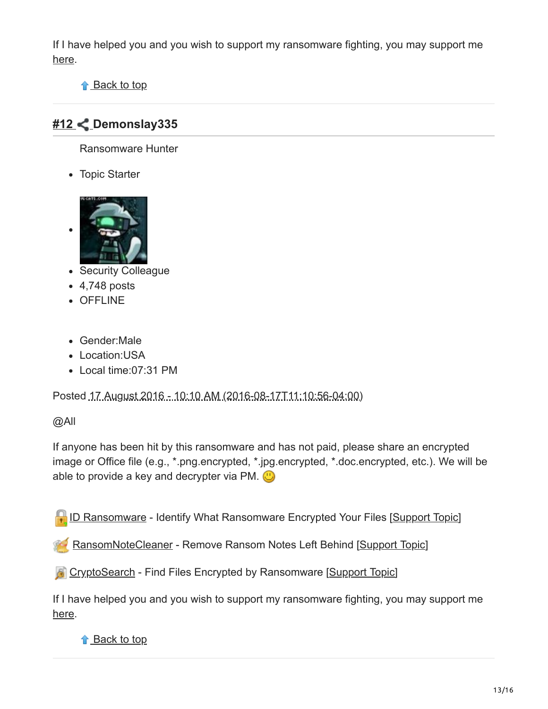If I have helped you and you wish to support my ransomware fighting, you may support me [here](https://www.patreon.com/demonslay335).

↑ Back to top

### **[#12](https://www.bleepingcomputer.com/forums/t/623132/smrss32-encrypted-ransomware-help-support-how-to-decryptbmp/#entry4065739) Demonslay335**

Ransomware Hunter

Topic Starter



- Security Colleague
- 4,748 posts
- OFFLINE
- Gender:Male
- Location:USA
- Local time:07:31 PM

Posted 17 August 2016 - 10:10 AM (2016-08-17T11:10:56-04:00)

#### @All

If anyone has been hit by this ransomware and has not paid, please share an encrypted image or Office file (e.g., \*.png.encrypted, \*.jpg.encrypted, \*.doc.encrypted, etc.). We will be able to provide a key and decrypter via PM.  $\bigcirc$ 

[ID Ransomware](https://id-ransomware.malwarehunterteam.com/) - Identify What Ransomware Encrypted Your Files [[Support Topic](http://www.bleepingcomputer.com/forums/t/608858/id-ransomware-identify-what-ransomware-encrypted-your-files/)]

[RansomNoteCleaner](http://www.bleepingcomputer.com/download/ransomnotecleaner/) - Remove Ransom Notes Left Behind [[Support Topic\]](https://www.bleepingcomputer.com/forums/t/617257/ransomnotecleaner-remove-ransom-notes-left-behind/)

**[CryptoSearch](https://www.bleepingcomputer.com/news/security/cryptosearch-finds-files-encrypted-by-ransomware-moves-them-to-new-location/)** - Find Files Encrypted by Ransomware [[Support Topic](https://www.bleepingcomputer.com/forums/t/637463/cryptosearch-find-files-encrypted-by-ransomware/)]

If I have helped you and you wish to support my ransomware fighting, you may support me [here](https://www.patreon.com/demonslay335).

#### ↑ Back to top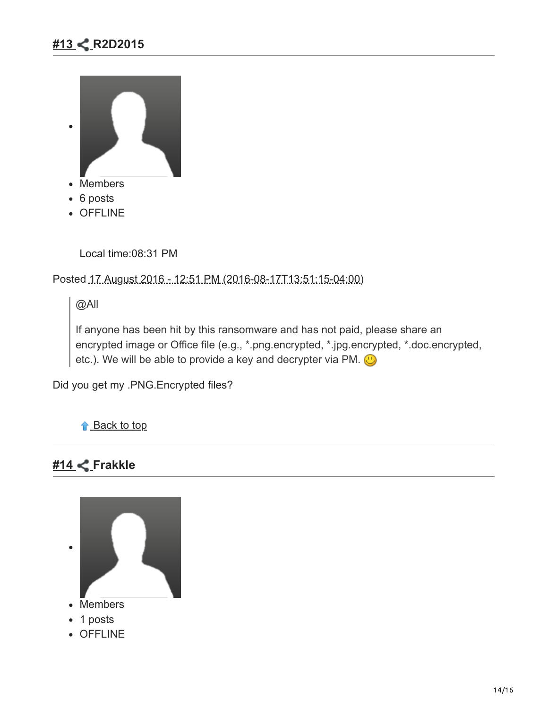### **[#13](https://www.bleepingcomputer.com/forums/t/623132/smrss32-encrypted-ransomware-help-support-how-to-decryptbmp/#entry4065900) R2D2015**



- Members
- 6 posts
- OFFLINE

Local time:08:31 PM

Posted 17 August 2016 - 12:51 PM (2016-08-17T13:51:15-04:00)

@All

If anyone has been hit by this ransomware and has not paid, please share an encrypted image or Office file (e.g., \*.png.encrypted, \*.jpg.encrypted, \*.doc.encrypted, etc.). We will be able to provide a key and decrypter via PM.  $\bigcirc$ 

Did you get my .PNG.Encrypted files?

↑ Back to top

### **[#14](https://www.bleepingcomputer.com/forums/t/623132/smrss32-encrypted-ransomware-help-support-how-to-decryptbmp/#entry4065915) Frakkle**



OFFLINE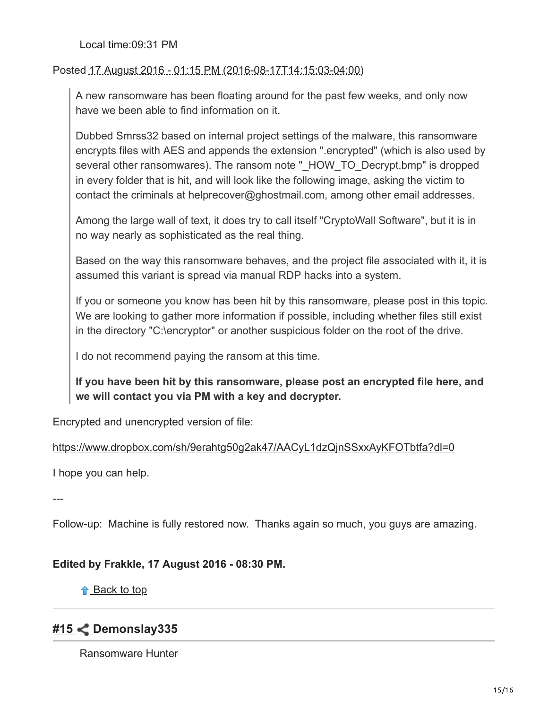Local time:09:31 PM

Posted 17 August 2016 - 01:15 PM (2016-08-17T14:15:03-04:00)

A new ransomware has been floating around for the past few weeks, and only now have we been able to find information on it.

Dubbed Smrss32 based on internal project settings of the malware, this ransomware encrypts files with AES and appends the extension ".encrypted" (which is also used by several other ransomwares). The ransom note "\_HOW\_TO\_Decrypt.bmp" is dropped in every folder that is hit, and will look like the following image, asking the victim to contact the criminals at helprecover@ghostmail.com, among other email addresses.

Among the large wall of text, it does try to call itself "CryptoWall Software", but it is in no way nearly as sophisticated as the real thing.

Based on the way this ransomware behaves, and the project file associated with it, it is assumed this variant is spread via manual RDP hacks into a system.

If you or someone you know has been hit by this ransomware, please post in this topic. We are looking to gather more information if possible, including whether files still exist in the directory "C:\encryptor" or another suspicious folder on the root of the drive.

I do not recommend paying the ransom at this time.

**If you have been hit by this ransomware, please post an encrypted file here, and we will contact you via PM with a key and decrypter.**

Encrypted and unencrypted version of file:

<https://www.dropbox.com/sh/9erahtg50g2ak47/AACyL1dzQjnSSxxAyKFOTbtfa?dl=0>

I hope you can help.

---

Follow-up: Machine is fully restored now. Thanks again so much, you guys are amazing.

#### **Edited by Frakkle, 17 August 2016 - 08:30 PM.**

**↑** Back to top

### **[#15](https://www.bleepingcomputer.com/forums/t/623132/smrss32-encrypted-ransomware-help-support-how-to-decryptbmp/#entry4065944) Demonslay335**

Ransomware Hunter